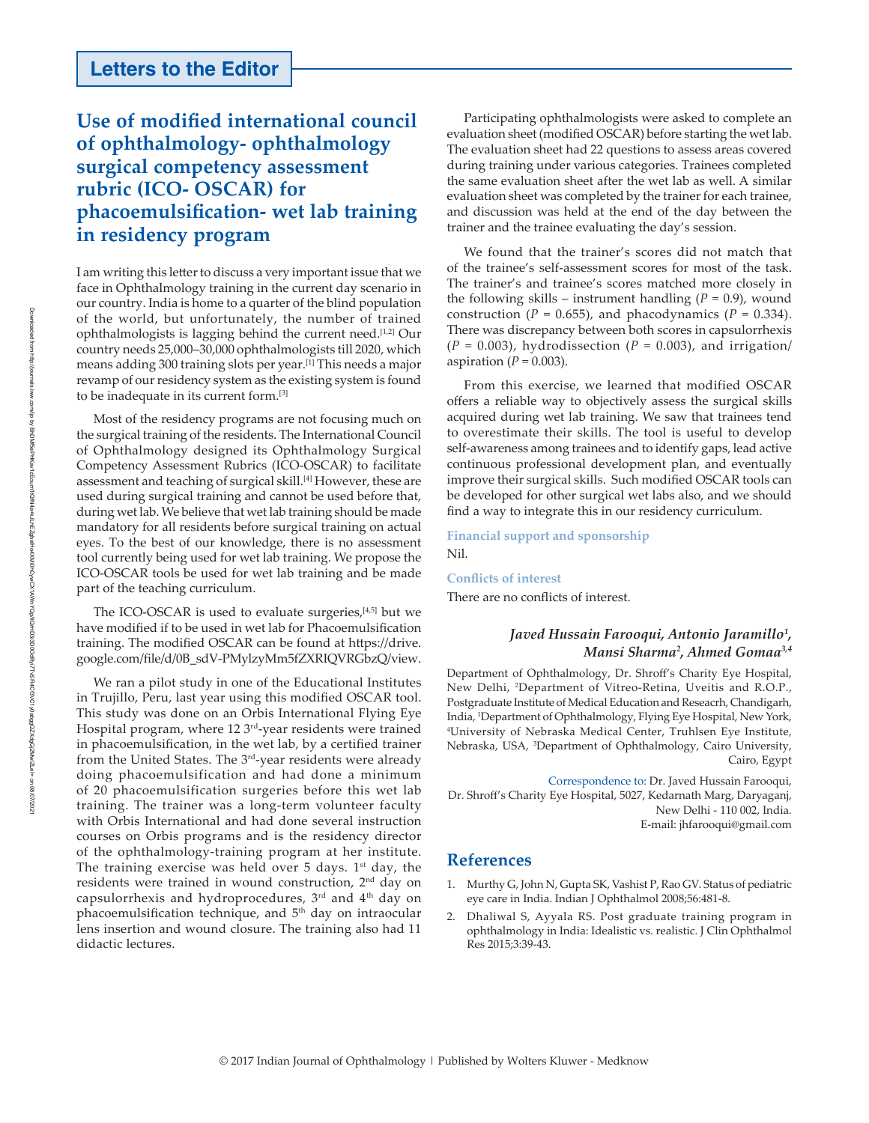## **Letters to the Editor**

## **Use of modified international council of ophthalmology‑ ophthalmology surgical competency assessment rubric (ICO‑ OSCAR) for phacoemulsification‑ wet lab training in residency program**

I am writing this letter to discuss a very important issue that we face in Ophthalmology training in the current day scenario in our country. India is home to a quarter of the blind population of the world, but unfortunately, the number of trained ophthalmologists is lagging behind the current need.<sup>[1,2]</sup> Our country needs 25,000–30,000 ophthalmologists till 2020, which means adding 300 training slots per year.[1] This needs a major revamp of our residency system as the existing system is found to be inadequate in its current form.[3]

Most of the residency programs are not focusing much on the surgical training of the residents. The International Council of Ophthalmology designed its Ophthalmology Surgical Competency Assessment Rubrics (ICO‑OSCAR) to facilitate assessment and teaching of surgical skill.[4] However, these are used during surgical training and cannot be used before that, during wet lab. We believe that wet lab training should be made mandatory for all residents before surgical training on actual eyes. To the best of our knowledge, there is no assessment tool currently being used for wet lab training. We propose the ICO‑OSCAR tools be used for wet lab training and be made part of the teaching curriculum.

The ICO-OSCAR is used to evaluate surgeries,<sup>[4,5]</sup> but we have modified if to be used in wet lab for Phacoemulsification training. The modified OSCAR can be found at https://drive. google.com/file/d/0B\_sdV‑PMylzyMm5fZXRIQVRGbzQ/view.

We ran a pilot study in one of the Educational Institutes in Trujillo, Peru, last year using this modified OSCAR tool. This study was done on an Orbis International Flying Eye Hospital program, where 12 3<sup>rd</sup>-year residents were trained in phacoemulsification, in the wet lab, by a certified trainer from the United States. The 3<sup>rd</sup>-year residents were already doing phacoemulsification and had done a minimum of 20 phacoemulsification surgeries before this wet lab training. The trainer was a long-term volunteer faculty with Orbis International and had done several instruction courses on Orbis programs and is the residency director of the ophthalmology‑training program at her institute. The training exercise was held over  $5$  days.  $1<sup>st</sup>$  day, the residents were trained in wound construction, 2nd day on capsulorrhexis and hydroprocedures, 3rd and 4th day on phacoemulsification technique, and 5<sup>th</sup> day on intraocular lens insertion and wound closure. The training also had 11 didactic lectures.

Participating ophthalmologists were asked to complete an evaluation sheet (modified OSCAR) before starting the wet lab. The evaluation sheet had 22 questions to assess areas covered during training under various categories. Trainees completed the same evaluation sheet after the wet lab as well. A similar evaluation sheet was completed by the trainer for each trainee, and discussion was held at the end of the day between the trainer and the trainee evaluating the day's session.

We found that the trainer's scores did not match that of the trainee's self‑assessment scores for most of the task. The trainer's and trainee's scores matched more closely in the following skills – instrument handling  $(P = 0.9)$ , wound construction ( $P = 0.655$ ), and phacodynamics ( $P = 0.334$ ). There was discrepancy between both scores in capsulorrhexis  $(P = 0.003)$ , hydrodissection  $(P = 0.003)$ , and irrigation/ aspiration  $(P = 0.003)$ .

From this exercise, we learned that modified OSCAR offers a reliable way to objectively assess the surgical skills acquired during wet lab training. We saw that trainees tend to overestimate their skills. The tool is useful to develop self-awareness among trainees and to identify gaps, lead active continuous professional development plan, and eventually improve their surgical skills. Such modified OSCAR tools can be developed for other surgical wet labs also, and we should find a way to integrate this in our residency curriculum.

**Financial support and sponsorship** Nil.

**Conflicts of interest** There are no conflicts of interest.

## *Javed Hussain Farooqui, Antonio Jaramillo<sup>1</sup> , Mansi Sharma<sup>2</sup> , Ahmed Gomaa3,4*

Department of Ophthalmology, Dr. Shroff's Charity Eye Hospital, New Delhi, <sup>2</sup>Department of Vitreo‑Retina, Uveitis and R.O.P., Postgraduate Institute of Medical Education and Reseacrh, Chandigarh, India, 1Department of Ophthalmology, Flying Eye Hospital, New York, <sup>4</sup>University of Nebraska Medical Center, Truhlsen Eye Institute, Nebraska, USA, <sup>3</sup>Department of Ophthalmology, Cairo University, Cairo, Egypt

Correspondence to: Dr. Javed Hussain Farooqui, Dr. Shroff's Charity Eye Hospital, 5027, Kedarnath Marg, Daryaganj, New Delhi ‑ 110 002, India. E‑mail: jhfarooqui@gmail.com

## **References**

- 1. Murthy G, John N, Gupta SK, Vashist P, Rao GV. Status of pediatric eye care in India. Indian J Ophthalmol 2008;56:481‑8.
- 2. Dhaliwal S, Ayyala RS. Post graduate training program in ophthalmology in India: Idealistic vs. realistic. J Clin Ophthalmol Res 2015;3:39‑43.